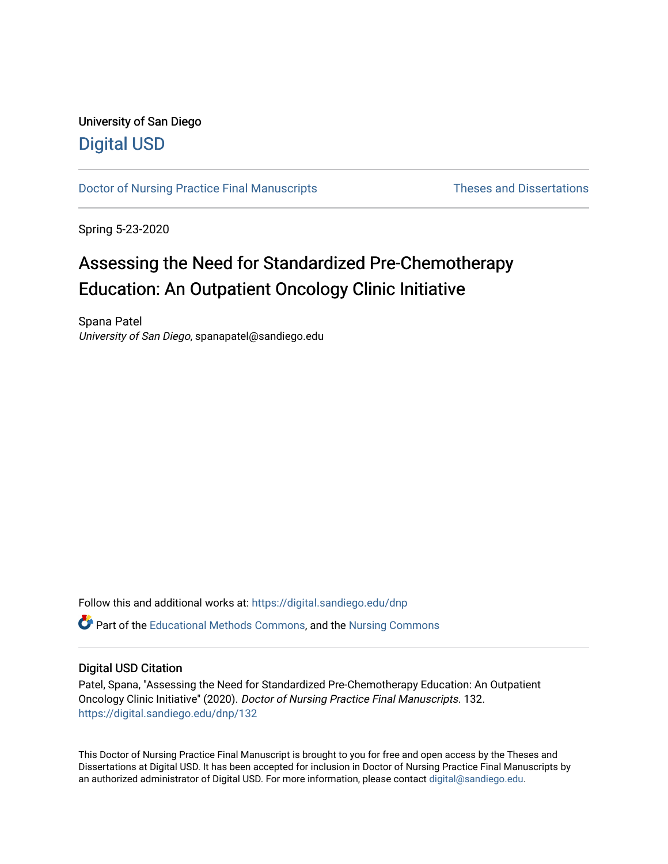## University of San Diego [Digital USD](https://digital.sandiego.edu/)

[Doctor of Nursing Practice Final Manuscripts](https://digital.sandiego.edu/dnp) Theses and Dissertations

Spring 5-23-2020

# Assessing the Need for Standardized Pre-Chemotherapy Education: An Outpatient Oncology Clinic Initiative

Spana Patel University of San Diego, spanapatel@sandiego.edu

Follow this and additional works at: [https://digital.sandiego.edu/dnp](https://digital.sandiego.edu/dnp?utm_source=digital.sandiego.edu%2Fdnp%2F132&utm_medium=PDF&utm_campaign=PDFCoverPages) 

Part of the [Educational Methods Commons,](http://network.bepress.com/hgg/discipline/1227?utm_source=digital.sandiego.edu%2Fdnp%2F132&utm_medium=PDF&utm_campaign=PDFCoverPages) and the [Nursing Commons](http://network.bepress.com/hgg/discipline/718?utm_source=digital.sandiego.edu%2Fdnp%2F132&utm_medium=PDF&utm_campaign=PDFCoverPages)

## Digital USD Citation

Patel, Spana, "Assessing the Need for Standardized Pre-Chemotherapy Education: An Outpatient Oncology Clinic Initiative" (2020). Doctor of Nursing Practice Final Manuscripts. 132. [https://digital.sandiego.edu/dnp/132](https://digital.sandiego.edu/dnp/132?utm_source=digital.sandiego.edu%2Fdnp%2F132&utm_medium=PDF&utm_campaign=PDFCoverPages) 

This Doctor of Nursing Practice Final Manuscript is brought to you for free and open access by the Theses and Dissertations at Digital USD. It has been accepted for inclusion in Doctor of Nursing Practice Final Manuscripts by an authorized administrator of Digital USD. For more information, please contact [digital@sandiego.edu](mailto:digital@sandiego.edu).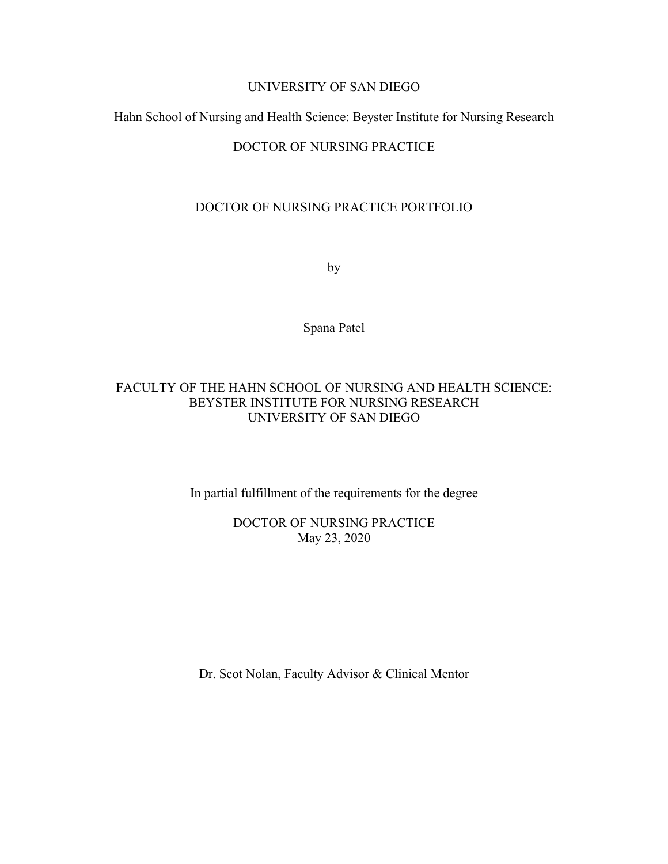## UNIVERSITY OF SAN DIEGO

## Hahn School of Nursing and Health Science: Beyster Institute for Nursing Research

## DOCTOR OF NURSING PRACTICE

## DOCTOR OF NURSING PRACTICE PORTFOLIO

by

Spana Patel

## FACULTY OF THE HAHN SCHOOL OF NURSING AND HEALTH SCIENCE: BEYSTER INSTITUTE FOR NURSING RESEARCH UNIVERSITY OF SAN DIEGO

In partial fulfillment of the requirements for the degree

DOCTOR OF NURSING PRACTICE May 23, 2020

Dr. Scot Nolan, Faculty Advisor & Clinical Mentor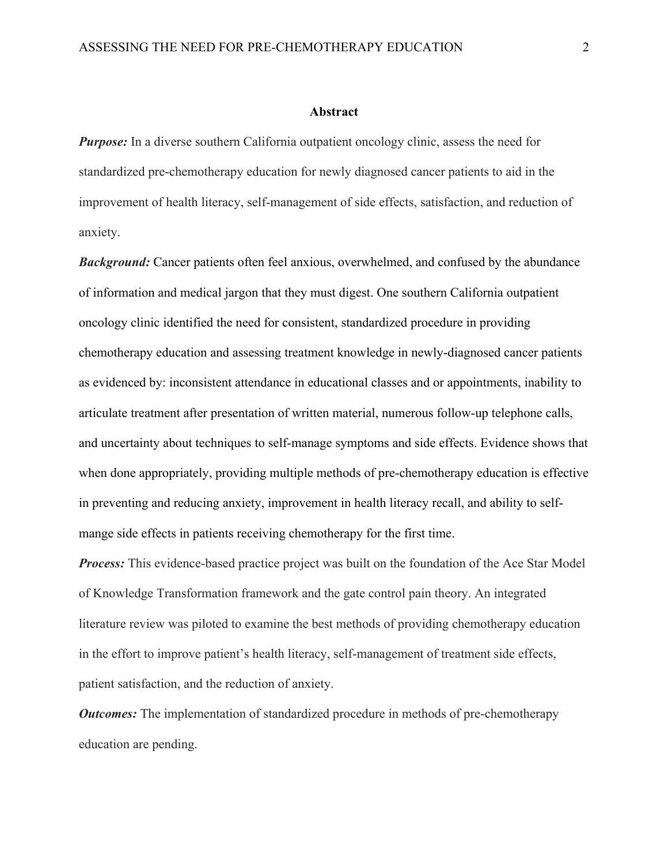#### **Abstract**

*Purpose:* In a diverse southern California outpatient oncology clinic, assess the need for standardized pre-chemotherapy education for newly diagnosed cancer patients to aid in the improvement of health literacy, self-management of side effects, satisfaction, and reduction of anxiety.

*Background:* Cancer patients often feel anxious, overwhelmed, and confused by the abundance of information and medical jargon that they must digest. One southern California outpatient oncology clinic identified the need for consistent, standardized procedure in providing chemotherapy education and assessing treatment knowledge in newly-diagnosed cancer patients as evidenced by: inconsistent attendance in educational classes and or appointments, inability to articulate treatment after presentation of written material, numerous follow-up telephone calls, and uncertainty about techniques to self-manage symptoms and side effects. Evidence shows that when done appropriately, providing multiple methods of pre-chemotherapy education is effective in preventing and reducing anxiety, improvement in health literacy recall, and ability to selfmange side effects in patients receiving chemotherapy for the first time.

*Process:* This evidence-based practice project was built on the foundation of the Ace Star Model of Knowledge Transformation framework and the gate control pain theory. An integrated literature review was piloted to examine the best methods of providing chemotherapy education in the effort to improve patient's health literacy, self-management of treatment side effects, patient satisfaction, and the reduction of anxiety.

*Outcomes:* The implementation of standardized procedure in methods of pre-chemotherapy education are pending.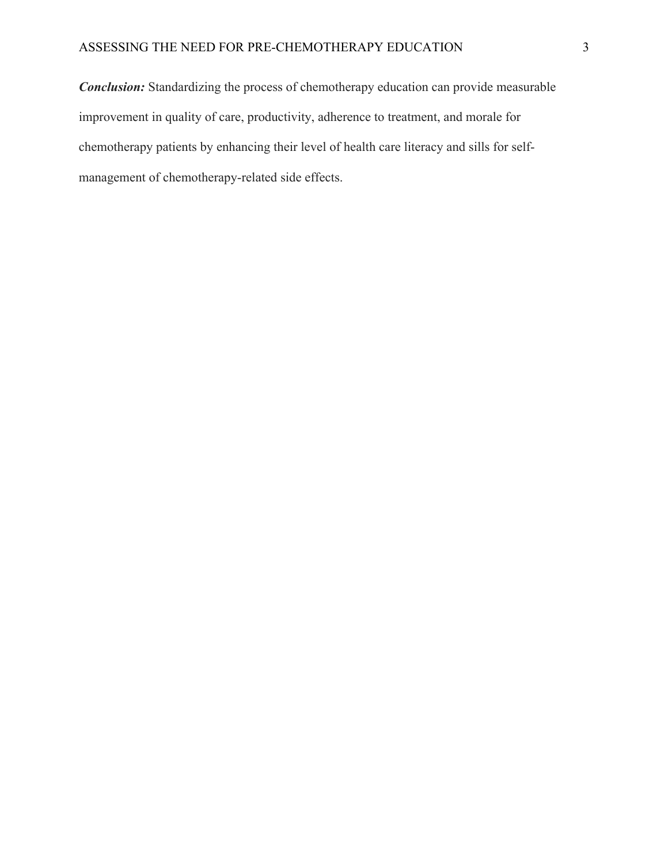*Conclusion:* Standardizing the process of chemotherapy education can provide measurable improvement in quality of care, productivity, adherence to treatment, and morale for chemotherapy patients by enhancing their level of health care literacy and sills for selfmanagement of chemotherapy-related side effects.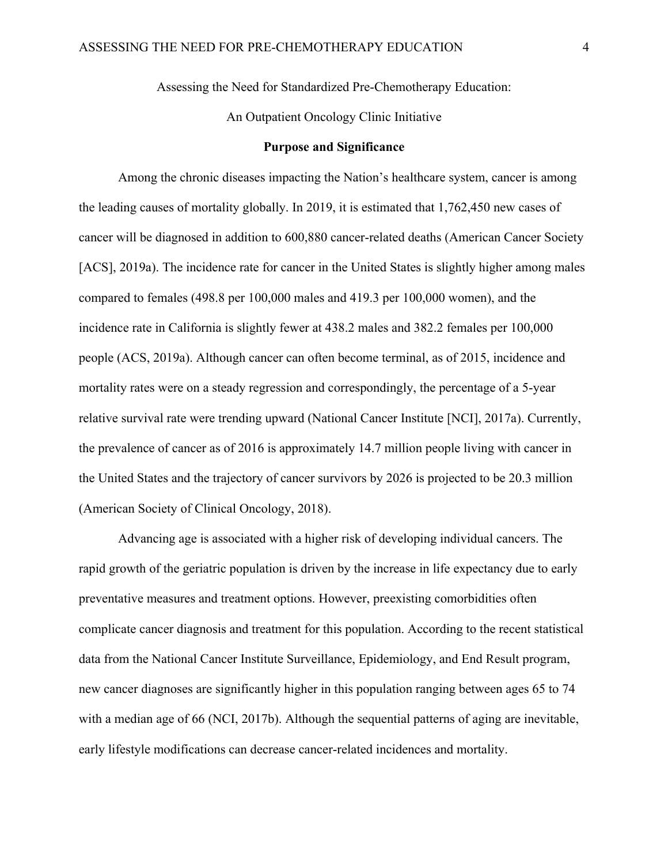Assessing the Need for Standardized Pre-Chemotherapy Education:

An Outpatient Oncology Clinic Initiative

#### **Purpose and Significance**

Among the chronic diseases impacting the Nation's healthcare system, cancer is among the leading causes of mortality globally. In 2019, it is estimated that 1,762,450 new cases of cancer will be diagnosed in addition to 600,880 cancer-related deaths (American Cancer Society [ACS], 2019a). The incidence rate for cancer in the United States is slightly higher among males compared to females (498.8 per 100,000 males and 419.3 per 100,000 women), and the incidence rate in California is slightly fewer at 438.2 males and 382.2 females per 100,000 people (ACS, 2019a). Although cancer can often become terminal, as of 2015, incidence and mortality rates were on a steady regression and correspondingly, the percentage of a 5-year relative survival rate were trending upward (National Cancer Institute [NCI], 2017a). Currently, the prevalence of cancer as of 2016 is approximately 14.7 million people living with cancer in the United States and the trajectory of cancer survivors by 2026 is projected to be 20.3 million (American Society of Clinical Oncology, 2018).

Advancing age is associated with a higher risk of developing individual cancers. The rapid growth of the geriatric population is driven by the increase in life expectancy due to early preventative measures and treatment options. However, preexisting comorbidities often complicate cancer diagnosis and treatment for this population. According to the recent statistical data from the National Cancer Institute Surveillance, Epidemiology, and End Result program, new cancer diagnoses are significantly higher in this population ranging between ages 65 to 74 with a median age of 66 (NCI, 2017b). Although the sequential patterns of aging are inevitable, early lifestyle modifications can decrease cancer-related incidences and mortality.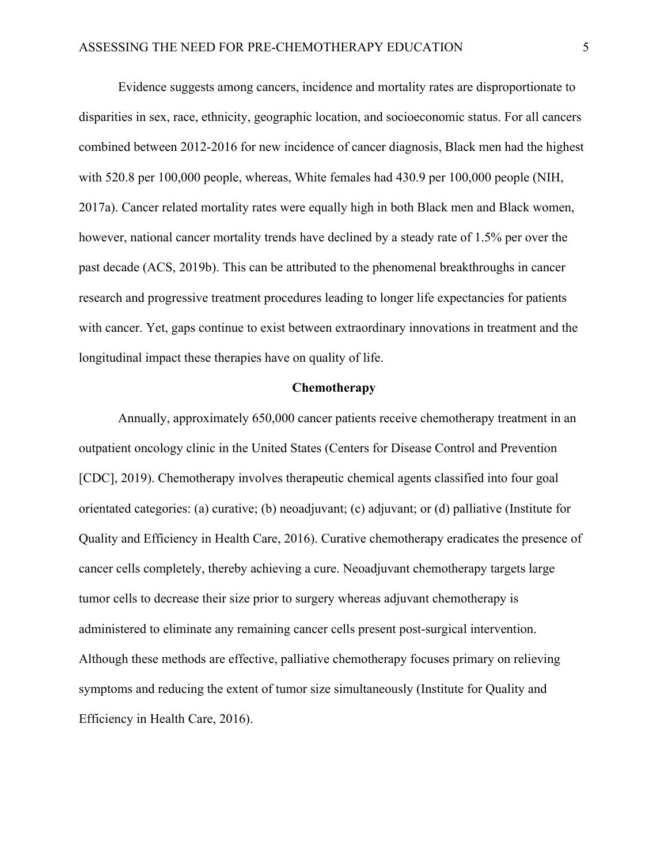Evidence suggests among cancers, incidence and mortality rates are disproportionate to disparities in sex, race, ethnicity, geographic location, and socioeconomic status. For all cancers combined between 2012-2016 for new incidence of cancer diagnosis, Black men had the highest with 520.8 per 100,000 people, whereas, White females had 430.9 per 100,000 people (NIH, 2017a). Cancer related mortality rates were equally high in both Black men and Black women, however, national cancer mortality trends have declined by a steady rate of 1.5% per over the past decade (ACS, 2019b). This can be attributed to the phenomenal breakthroughs in cancer research and progressive treatment procedures leading to longer life expectancies for patients with cancer. Yet, gaps continue to exist between extraordinary innovations in treatment and the longitudinal impact these therapies have on quality of life.

#### **Chemotherapy**

Annually, approximately 650,000 cancer patients receive chemotherapy treatment in an outpatient oncology clinic in the United States (Centers for Disease Control and Prevention [CDC], 2019). Chemotherapy involves therapeutic chemical agents classified into four goal orientated categories: (a) curative; (b) neoadjuvant; (c) adjuvant; or (d) palliative (Institute for Quality and Efficiency in Health Care, 2016). Curative chemotherapy eradicates the presence of cancer cells completely, thereby achieving a cure. Neoadjuvant chemotherapy targets large tumor cells to decrease their size prior to surgery whereas adjuvant chemotherapy is administered to eliminate any remaining cancer cells present post-surgical intervention. Although these methods are effective, palliative chemotherapy focuses primary on relieving symptoms and reducing the extent of tumor size simultaneously (Institute for Quality and Efficiency in Health Care, 2016).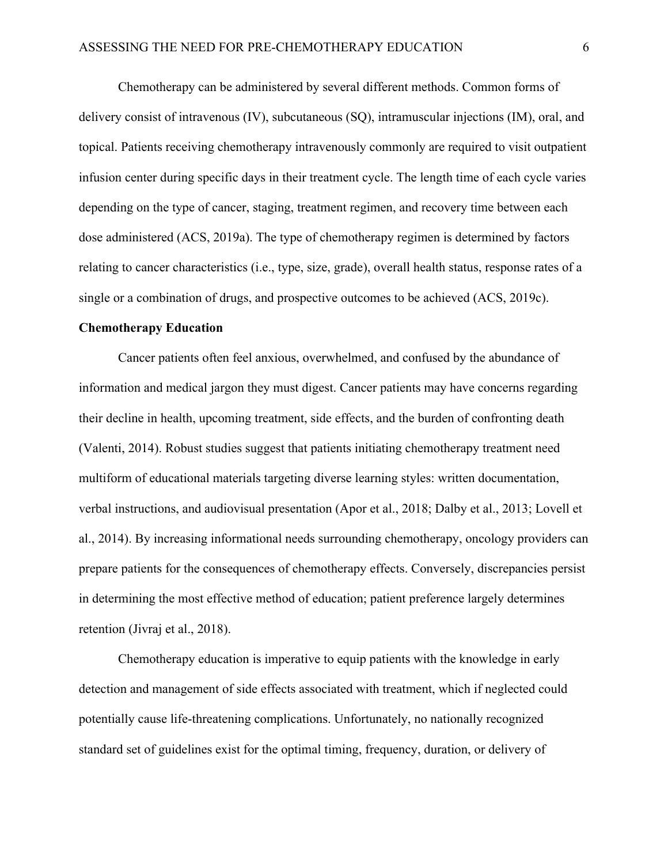Chemotherapy can be administered by several different methods. Common forms of delivery consist of intravenous (IV), subcutaneous (SQ), intramuscular injections (IM), oral, and topical. Patients receiving chemotherapy intravenously commonly are required to visit outpatient infusion center during specific days in their treatment cycle. The length time of each cycle varies depending on the type of cancer, staging, treatment regimen, and recovery time between each dose administered (ACS, 2019a). The type of chemotherapy regimen is determined by factors relating to cancer characteristics (i.e., type, size, grade), overall health status, response rates of a single or a combination of drugs, and prospective outcomes to be achieved (ACS, 2019c).

#### **Chemotherapy Education**

Cancer patients often feel anxious, overwhelmed, and confused by the abundance of information and medical jargon they must digest. Cancer patients may have concerns regarding their decline in health, upcoming treatment, side effects, and the burden of confronting death (Valenti, 2014). Robust studies suggest that patients initiating chemotherapy treatment need multiform of educational materials targeting diverse learning styles: written documentation, verbal instructions, and audiovisual presentation (Apor et al., 2018; Dalby et al., 2013; Lovell et al., 2014). By increasing informational needs surrounding chemotherapy, oncology providers can prepare patients for the consequences of chemotherapy effects. Conversely, discrepancies persist in determining the most effective method of education; patient preference largely determines retention (Jivraj et al., 2018).

Chemotherapy education is imperative to equip patients with the knowledge in early detection and management of side effects associated with treatment, which if neglected could potentially cause life-threatening complications. Unfortunately, no nationally recognized standard set of guidelines exist for the optimal timing, frequency, duration, or delivery of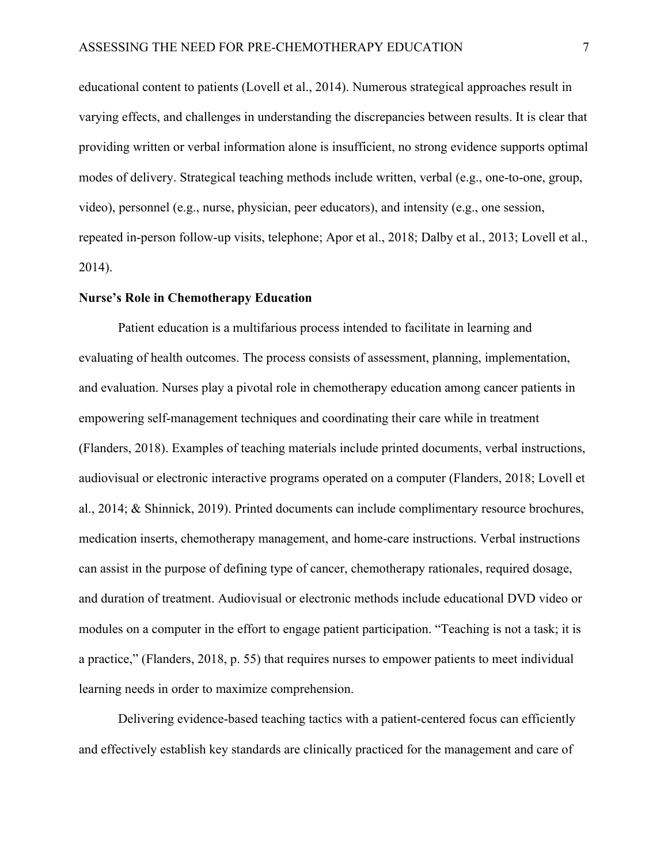educational content to patients (Lovell et al., 2014). Numerous strategical approaches result in varying effects, and challenges in understanding the discrepancies between results. It is clear that providing written or verbal information alone is insufficient, no strong evidence supports optimal modes of delivery. Strategical teaching methods include written, verbal (e.g., one-to-one, group, video), personnel (e.g., nurse, physician, peer educators), and intensity (e.g., one session, repeated in-person follow-up visits, telephone; Apor et al., 2018; Dalby et al., 2013; Lovell et al., 2014).

#### **Nurse's Role in Chemotherapy Education**

Patient education is a multifarious process intended to facilitate in learning and evaluating of health outcomes. The process consists of assessment, planning, implementation, and evaluation. Nurses play a pivotal role in chemotherapy education among cancer patients in empowering self-management techniques and coordinating their care while in treatment (Flanders, 2018). Examples of teaching materials include printed documents, verbal instructions, audiovisual or electronic interactive programs operated on a computer (Flanders, 2018; Lovell et al., 2014; & Shinnick, 2019). Printed documents can include complimentary resource brochures, medication inserts, chemotherapy management, and home-care instructions. Verbal instructions can assist in the purpose of defining type of cancer, chemotherapy rationales, required dosage, and duration of treatment. Audiovisual or electronic methods include educational DVD video or modules on a computer in the effort to engage patient participation. "Teaching is not a task; it is a practice," (Flanders, 2018, p. 55) that requires nurses to empower patients to meet individual learning needs in order to maximize comprehension.

Delivering evidence-based teaching tactics with a patient-centered focus can efficiently and effectively establish key standards are clinically practiced for the management and care of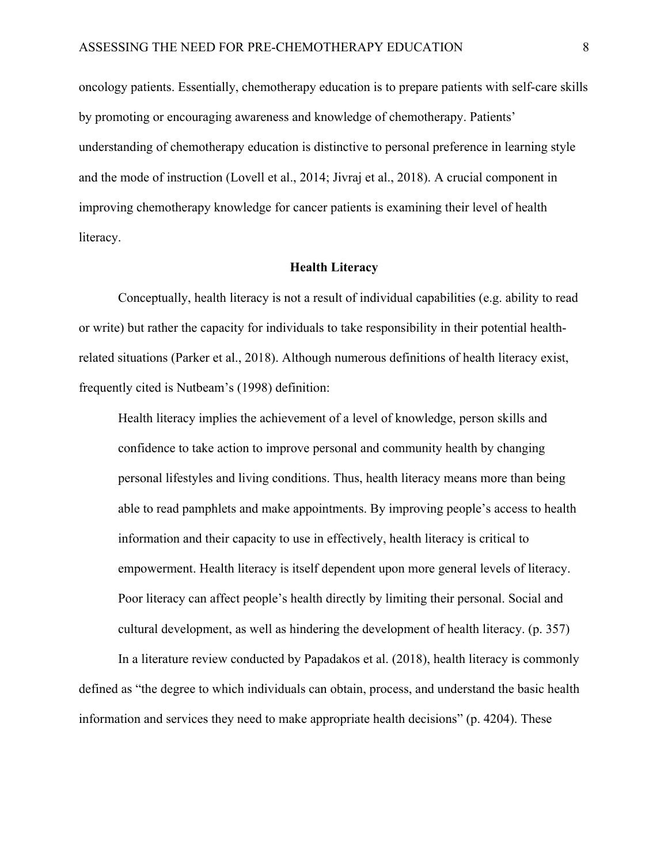oncology patients. Essentially, chemotherapy education is to prepare patients with self-care skills by promoting or encouraging awareness and knowledge of chemotherapy. Patients' understanding of chemotherapy education is distinctive to personal preference in learning style and the mode of instruction (Lovell et al., 2014; Jivraj et al., 2018). A crucial component in improving chemotherapy knowledge for cancer patients is examining their level of health literacy.

#### **Health Literacy**

Conceptually, health literacy is not a result of individual capabilities (e.g. ability to read or write) but rather the capacity for individuals to take responsibility in their potential healthrelated situations (Parker et al., 2018). Although numerous definitions of health literacy exist, frequently cited is Nutbeam's (1998) definition:

Health literacy implies the achievement of a level of knowledge, person skills and confidence to take action to improve personal and community health by changing personal lifestyles and living conditions. Thus, health literacy means more than being able to read pamphlets and make appointments. By improving people's access to health information and their capacity to use in effectively, health literacy is critical to empowerment. Health literacy is itself dependent upon more general levels of literacy. Poor literacy can affect people's health directly by limiting their personal. Social and cultural development, as well as hindering the development of health literacy. (p. 357)

In a literature review conducted by Papadakos et al. (2018), health literacy is commonly defined as "the degree to which individuals can obtain, process, and understand the basic health information and services they need to make appropriate health decisions" (p. 4204). These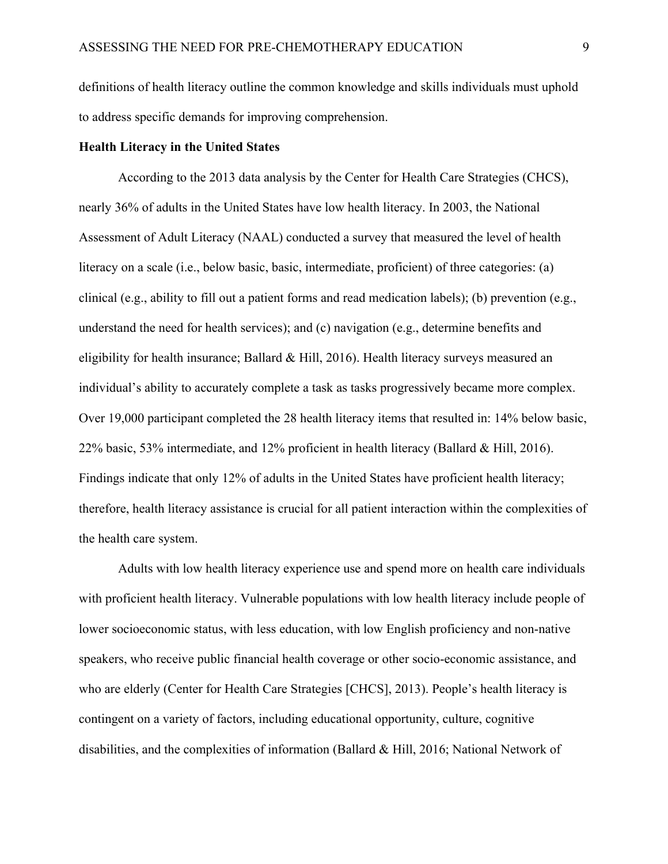definitions of health literacy outline the common knowledge and skills individuals must uphold to address specific demands for improving comprehension.

#### **Health Literacy in the United States**

According to the 2013 data analysis by the Center for Health Care Strategies (CHCS), nearly 36% of adults in the United States have low health literacy. In 2003, the National Assessment of Adult Literacy (NAAL) conducted a survey that measured the level of health literacy on a scale (i.e., below basic, basic, intermediate, proficient) of three categories: (a) clinical (e.g., ability to fill out a patient forms and read medication labels); (b) prevention (e.g., understand the need for health services); and (c) navigation (e.g., determine benefits and eligibility for health insurance; Ballard & Hill, 2016). Health literacy surveys measured an individual's ability to accurately complete a task as tasks progressively became more complex. Over 19,000 participant completed the 28 health literacy items that resulted in: 14% below basic, 22% basic, 53% intermediate, and 12% proficient in health literacy (Ballard & Hill, 2016). Findings indicate that only 12% of adults in the United States have proficient health literacy; therefore, health literacy assistance is crucial for all patient interaction within the complexities of the health care system.

Adults with low health literacy experience use and spend more on health care individuals with proficient health literacy. Vulnerable populations with low health literacy include people of lower socioeconomic status, with less education, with low English proficiency and non-native speakers, who receive public financial health coverage or other socio-economic assistance, and who are elderly (Center for Health Care Strategies [CHCS], 2013). People's health literacy is contingent on a variety of factors, including educational opportunity, culture, cognitive disabilities, and the complexities of information (Ballard & Hill, 2016; National Network of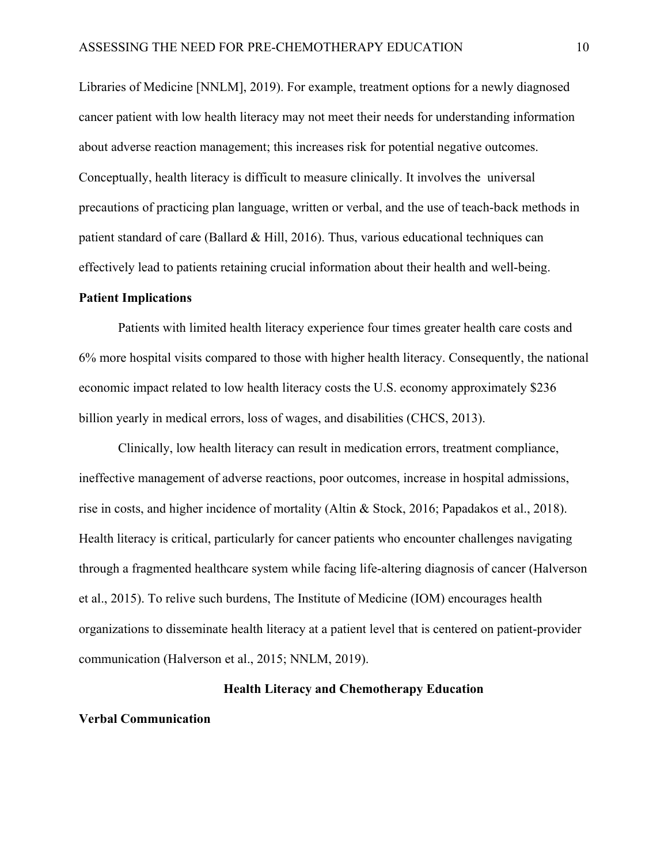Libraries of Medicine [NNLM], 2019). For example, treatment options for a newly diagnosed cancer patient with low health literacy may not meet their needs for understanding information about adverse reaction management; this increases risk for potential negative outcomes. Conceptually, health literacy is difficult to measure clinically. It involves the universal precautions of practicing plan language, written or verbal, and the use of teach-back methods in patient standard of care (Ballard & Hill, 2016). Thus, various educational techniques can effectively lead to patients retaining crucial information about their health and well-being.

#### **Patient Implications**

Patients with limited health literacy experience four times greater health care costs and 6% more hospital visits compared to those with higher health literacy. Consequently, the national economic impact related to low health literacy costs the U.S. economy approximately \$236 billion yearly in medical errors, loss of wages, and disabilities (CHCS, 2013).

Clinically, low health literacy can result in medication errors, treatment compliance, ineffective management of adverse reactions, poor outcomes, increase in hospital admissions, rise in costs, and higher incidence of mortality (Altin & Stock, 2016; Papadakos et al., 2018). Health literacy is critical, particularly for cancer patients who encounter challenges navigating through a fragmented healthcare system while facing life-altering diagnosis of cancer (Halverson et al., 2015). To relive such burdens, The Institute of Medicine (IOM) encourages health organizations to disseminate health literacy at a patient level that is centered on patient-provider communication (Halverson et al., 2015; NNLM, 2019).

#### **Health Literacy and Chemotherapy Education**

#### **Verbal Communication**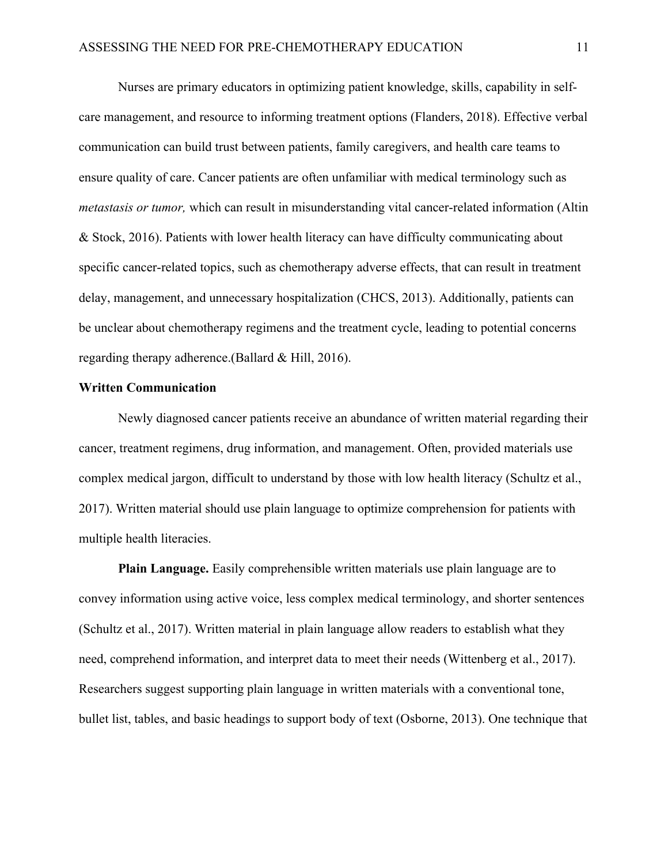Nurses are primary educators in optimizing patient knowledge, skills, capability in selfcare management, and resource to informing treatment options (Flanders, 2018). Effective verbal communication can build trust between patients, family caregivers, and health care teams to ensure quality of care. Cancer patients are often unfamiliar with medical terminology such as *metastasis or tumor,* which can result in misunderstanding vital cancer-related information (Altin & Stock, 2016). Patients with lower health literacy can have difficulty communicating about specific cancer-related topics, such as chemotherapy adverse effects, that can result in treatment delay, management, and unnecessary hospitalization (CHCS, 2013). Additionally, patients can be unclear about chemotherapy regimens and the treatment cycle, leading to potential concerns regarding therapy adherence.(Ballard & Hill, 2016).

#### **Written Communication**

Newly diagnosed cancer patients receive an abundance of written material regarding their cancer, treatment regimens, drug information, and management. Often, provided materials use complex medical jargon, difficult to understand by those with low health literacy (Schultz et al., 2017). Written material should use plain language to optimize comprehension for patients with multiple health literacies.

**Plain Language.** Easily comprehensible written materials use plain language are to convey information using active voice, less complex medical terminology, and shorter sentences (Schultz et al., 2017). Written material in plain language allow readers to establish what they need, comprehend information, and interpret data to meet their needs (Wittenberg et al., 2017). Researchers suggest supporting plain language in written materials with a conventional tone, bullet list, tables, and basic headings to support body of text (Osborne, 2013). One technique that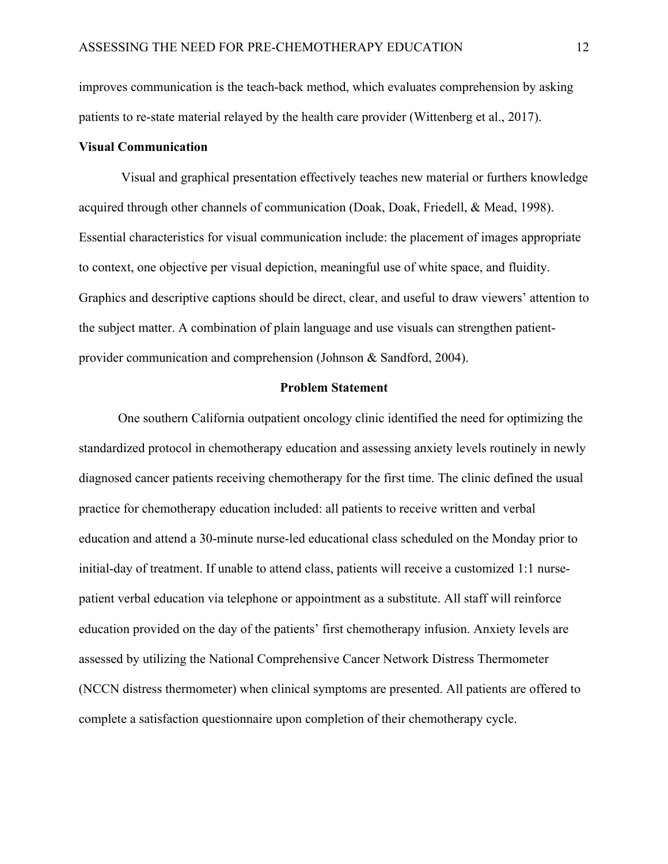improves communication is the teach-back method, which evaluates comprehension by asking patients to re-state material relayed by the health care provider (Wittenberg et al., 2017).

#### **Visual Communication**

Visual and graphical presentation effectively teaches new material or furthers knowledge acquired through other channels of communication (Doak, Doak, Friedell, & Mead, 1998). Essential characteristics for visual communication include: the placement of images appropriate to context, one objective per visual depiction, meaningful use of white space, and fluidity. Graphics and descriptive captions should be direct, clear, and useful to draw viewers' attention to the subject matter. A combination of plain language and use visuals can strengthen patientprovider communication and comprehension (Johnson & Sandford, 2004).

#### **Problem Statement**

One southern California outpatient oncology clinic identified the need for optimizing the standardized protocol in chemotherapy education and assessing anxiety levels routinely in newly diagnosed cancer patients receiving chemotherapy for the first time. The clinic defined the usual practice for chemotherapy education included: all patients to receive written and verbal education and attend a 30-minute nurse-led educational class scheduled on the Monday prior to initial-day of treatment. If unable to attend class, patients will receive a customized 1:1 nursepatient verbal education via telephone or appointment as a substitute. All staff will reinforce education provided on the day of the patients' first chemotherapy infusion. Anxiety levels are assessed by utilizing the National Comprehensive Cancer Network Distress Thermometer (NCCN distress thermometer) when clinical symptoms are presented. All patients are offered to complete a satisfaction questionnaire upon completion of their chemotherapy cycle.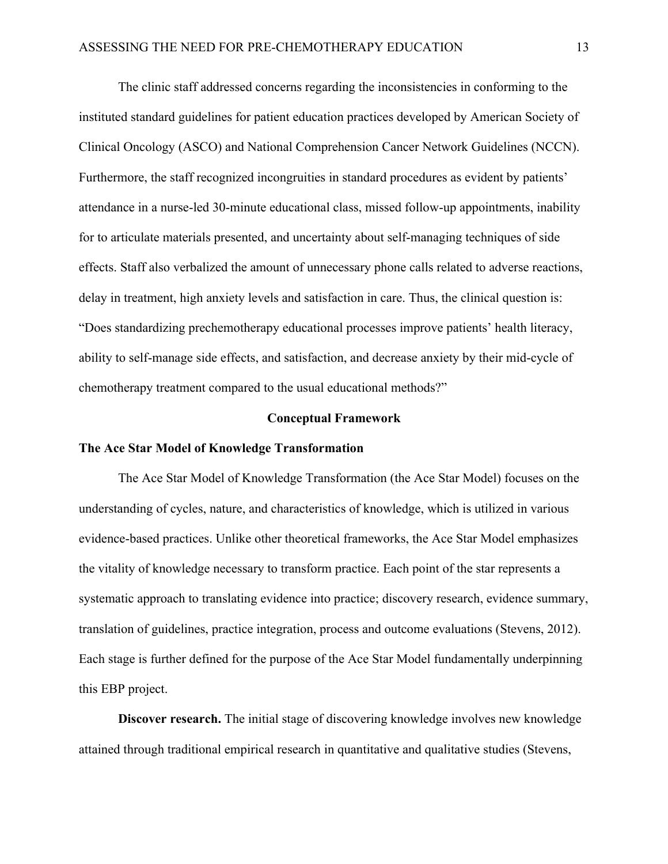The clinic staff addressed concerns regarding the inconsistencies in conforming to the instituted standard guidelines for patient education practices developed by American Society of Clinical Oncology (ASCO) and National Comprehension Cancer Network Guidelines (NCCN). Furthermore, the staff recognized incongruities in standard procedures as evident by patients' attendance in a nurse-led 30-minute educational class, missed follow-up appointments, inability for to articulate materials presented, and uncertainty about self-managing techniques of side effects. Staff also verbalized the amount of unnecessary phone calls related to adverse reactions, delay in treatment, high anxiety levels and satisfaction in care. Thus, the clinical question is: "Does standardizing prechemotherapy educational processes improve patients' health literacy, ability to self-manage side effects, and satisfaction, and decrease anxiety by their mid-cycle of chemotherapy treatment compared to the usual educational methods?"

#### **Conceptual Framework**

### **The Ace Star Model of Knowledge Transformation**

The Ace Star Model of Knowledge Transformation (the Ace Star Model) focuses on the understanding of cycles, nature, and characteristics of knowledge, which is utilized in various evidence-based practices. Unlike other theoretical frameworks, the Ace Star Model emphasizes the vitality of knowledge necessary to transform practice. Each point of the star represents a systematic approach to translating evidence into practice; discovery research, evidence summary, translation of guidelines, practice integration, process and outcome evaluations (Stevens, 2012). Each stage is further defined for the purpose of the Ace Star Model fundamentally underpinning this EBP project.

**Discover research.** The initial stage of discovering knowledge involves new knowledge attained through traditional empirical research in quantitative and qualitative studies (Stevens,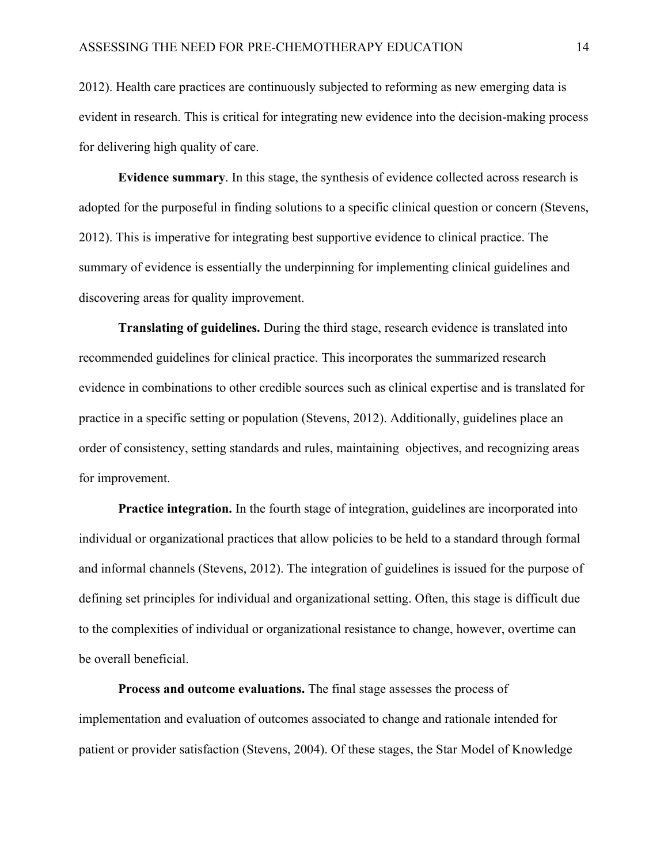2012). Health care practices are continuously subjected to reforming as new emerging data is evident in research. This is critical for integrating new evidence into the decision-making process for delivering high quality of care.

**Evidence summary**. In this stage, the synthesis of evidence collected across research is adopted for the purposeful in finding solutions to a specific clinical question or concern (Stevens, 2012). This is imperative for integrating best supportive evidence to clinical practice. The summary of evidence is essentially the underpinning for implementing clinical guidelines and discovering areas for quality improvement.

**Translating of guidelines.** During the third stage, research evidence is translated into recommended guidelines for clinical practice. This incorporates the summarized research evidence in combinations to other credible sources such as clinical expertise and is translated for practice in a specific setting or population (Stevens, 2012). Additionally, guidelines place an order of consistency, setting standards and rules, maintaining objectives, and recognizing areas for improvement.

**Practice integration.** In the fourth stage of integration, guidelines are incorporated into individual or organizational practices that allow policies to be held to a standard through formal and informal channels (Stevens, 2012). The integration of guidelines is issued for the purpose of defining set principles for individual and organizational setting. Often, this stage is difficult due to the complexities of individual or organizational resistance to change, however, overtime can be overall beneficial.

**Process and outcome evaluations.** The final stage assesses the process of implementation and evaluation of outcomes associated to change and rationale intended for patient or provider satisfaction (Stevens, 2004). Of these stages, the Star Model of Knowledge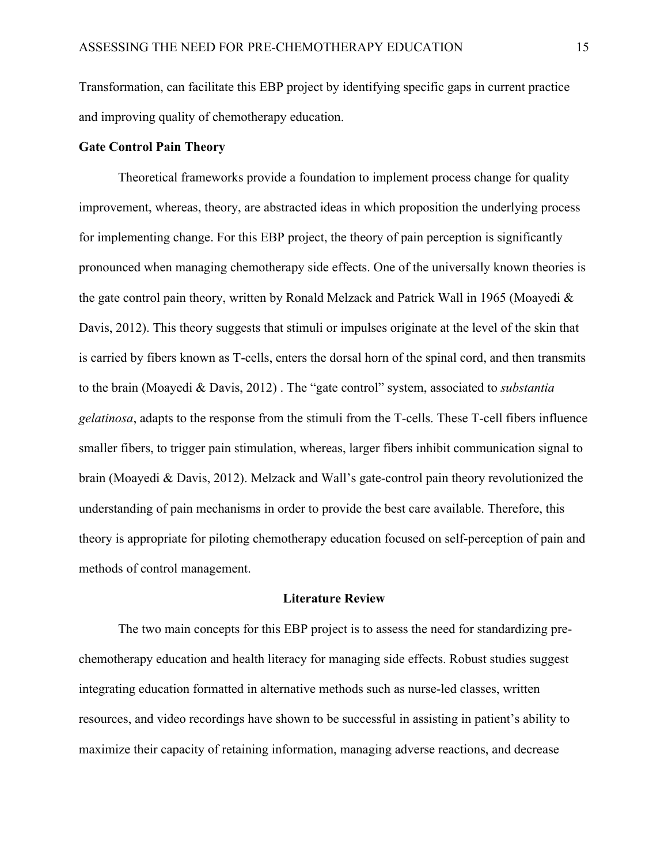Transformation, can facilitate this EBP project by identifying specific gaps in current practice and improving quality of chemotherapy education.

#### **Gate Control Pain Theory**

Theoretical frameworks provide a foundation to implement process change for quality improvement, whereas, theory, are abstracted ideas in which proposition the underlying process for implementing change. For this EBP project, the theory of pain perception is significantly pronounced when managing chemotherapy side effects. One of the universally known theories is the gate control pain theory, written by Ronald Melzack and Patrick Wall in 1965 (Moayedi & Davis, 2012). This theory suggests that stimuli or impulses originate at the level of the skin that is carried by fibers known as T-cells, enters the dorsal horn of the spinal cord, and then transmits to the brain (Moayedi & Davis, 2012) . The "gate control" system, associated to *substantia gelatinosa*, adapts to the response from the stimuli from the T-cells. These T-cell fibers influence smaller fibers, to trigger pain stimulation, whereas, larger fibers inhibit communication signal to brain (Moayedi & Davis, 2012). Melzack and Wall's gate-control pain theory revolutionized the understanding of pain mechanisms in order to provide the best care available. Therefore, this theory is appropriate for piloting chemotherapy education focused on self-perception of pain and methods of control management.

#### **Literature Review**

The two main concepts for this EBP project is to assess the need for standardizing prechemotherapy education and health literacy for managing side effects. Robust studies suggest integrating education formatted in alternative methods such as nurse-led classes, written resources, and video recordings have shown to be successful in assisting in patient's ability to maximize their capacity of retaining information, managing adverse reactions, and decrease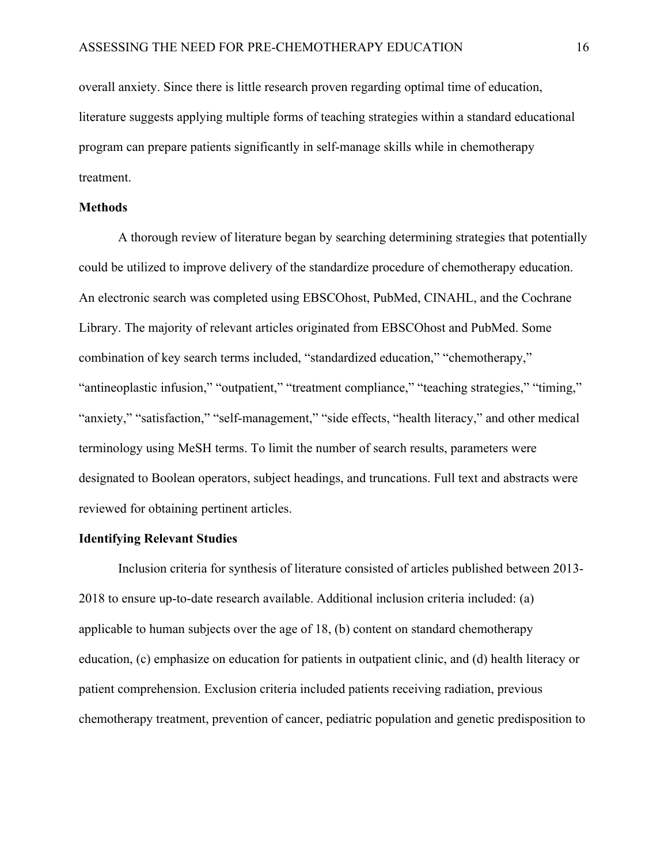overall anxiety. Since there is little research proven regarding optimal time of education, literature suggests applying multiple forms of teaching strategies within a standard educational program can prepare patients significantly in self-manage skills while in chemotherapy treatment.

## **Methods**

A thorough review of literature began by searching determining strategies that potentially could be utilized to improve delivery of the standardize procedure of chemotherapy education. An electronic search was completed using EBSCOhost, PubMed, CINAHL, and the Cochrane Library. The majority of relevant articles originated from EBSCOhost and PubMed. Some combination of key search terms included, "standardized education," "chemotherapy," "antineoplastic infusion," "outpatient," "treatment compliance," "teaching strategies," "timing," "anxiety," "satisfaction," "self-management," "side effects, "health literacy," and other medical terminology using MeSH terms. To limit the number of search results, parameters were designated to Boolean operators, subject headings, and truncations. Full text and abstracts were reviewed for obtaining pertinent articles.

#### **Identifying Relevant Studies**

Inclusion criteria for synthesis of literature consisted of articles published between 2013- 2018 to ensure up-to-date research available. Additional inclusion criteria included: (a) applicable to human subjects over the age of 18, (b) content on standard chemotherapy education, (c) emphasize on education for patients in outpatient clinic, and (d) health literacy or patient comprehension. Exclusion criteria included patients receiving radiation, previous chemotherapy treatment, prevention of cancer, pediatric population and genetic predisposition to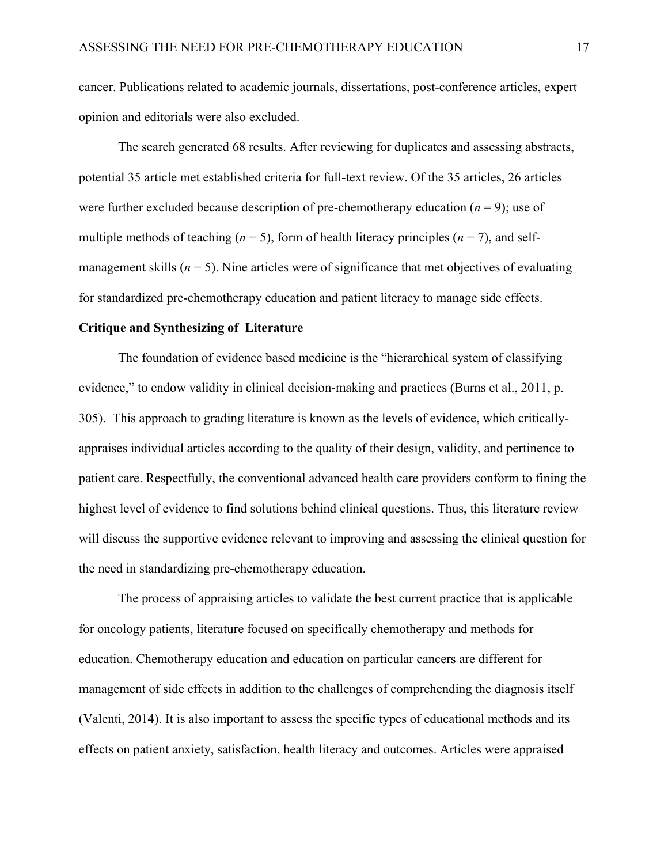cancer. Publications related to academic journals, dissertations, post-conference articles, expert opinion and editorials were also excluded.

The search generated 68 results. After reviewing for duplicates and assessing abstracts, potential 35 article met established criteria for full-text review. Of the 35 articles, 26 articles were further excluded because description of pre-chemotherapy education (*n* = 9); use of multiple methods of teaching  $(n = 5)$ , form of health literacy principles  $(n = 7)$ , and selfmanagement skills  $(n = 5)$ . Nine articles were of significance that met objectives of evaluating for standardized pre-chemotherapy education and patient literacy to manage side effects.

#### **Critique and Synthesizing of Literature**

The foundation of evidence based medicine is the "hierarchical system of classifying evidence," to endow validity in clinical decision-making and practices (Burns et al., 2011, p. 305). This approach to grading literature is known as the levels of evidence, which criticallyappraises individual articles according to the quality of their design, validity, and pertinence to patient care. Respectfully, the conventional advanced health care providers conform to fining the highest level of evidence to find solutions behind clinical questions. Thus, this literature review will discuss the supportive evidence relevant to improving and assessing the clinical question for the need in standardizing pre-chemotherapy education.

The process of appraising articles to validate the best current practice that is applicable for oncology patients, literature focused on specifically chemotherapy and methods for education. Chemotherapy education and education on particular cancers are different for management of side effects in addition to the challenges of comprehending the diagnosis itself (Valenti, 2014). It is also important to assess the specific types of educational methods and its effects on patient anxiety, satisfaction, health literacy and outcomes. Articles were appraised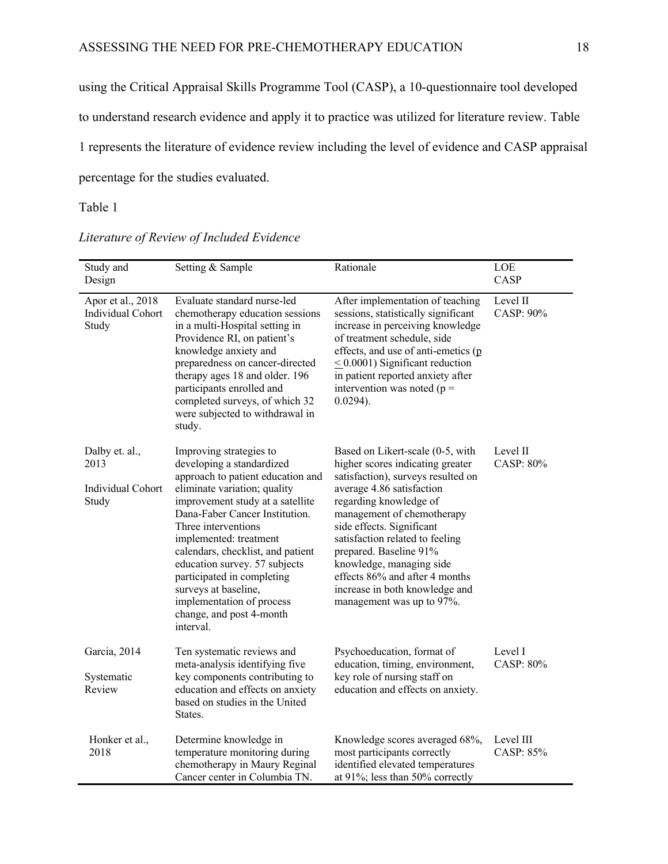using the Critical Appraisal Skills Programme Tool (CASP), a 10-questionnaire tool developed to understand research evidence and apply it to practice was utilized for literature review. Table 1 represents the literature of evidence review including the level of evidence and CASP appraisal percentage for the studies evaluated.

Table 1

| Study and<br>Design                                  | Setting & Sample                                                                                                                                                                                                                                                                                                                                                                                                                                   | Rationale                                                                                                                                                                                                                                                                                                                                                                                                              | LOE<br>CASP            |
|------------------------------------------------------|----------------------------------------------------------------------------------------------------------------------------------------------------------------------------------------------------------------------------------------------------------------------------------------------------------------------------------------------------------------------------------------------------------------------------------------------------|------------------------------------------------------------------------------------------------------------------------------------------------------------------------------------------------------------------------------------------------------------------------------------------------------------------------------------------------------------------------------------------------------------------------|------------------------|
| Apor et al., 2018<br>Individual Cohort<br>Study      | Evaluate standard nurse-led<br>chemotherapy education sessions<br>in a multi-Hospital setting in<br>Providence RI, on patient's<br>knowledge anxiety and<br>preparedness on cancer-directed<br>therapy ages 18 and older. 196<br>participants enrolled and<br>completed surveys, of which 32<br>were subjected to withdrawal in<br>study.                                                                                                          | After implementation of teaching<br>sessions, statistically significant<br>increase in perceiving knowledge<br>of treatment schedule, side<br>effects, and use of anti-emetics (p<br>$\leq$ 0.0001) Significant reduction<br>in patient reported anxiety after<br>intervention was noted ( $p =$<br>$0.0294$ ).                                                                                                        | Level II<br>CASP: 90%  |
| Dalby et. al.,<br>2013<br>Individual Cohort<br>Study | Improving strategies to<br>developing a standardized<br>approach to patient education and<br>eliminate variation; quality<br>improvement study at a satellite<br>Dana-Faber Cancer Institution.<br>Three interventions<br>implemented: treatment<br>calendars, checklist, and patient<br>education survey. 57 subjects<br>participated in completing<br>surveys at baseline,<br>implementation of process<br>change, and post 4-month<br>interval. | Based on Likert-scale (0-5, with<br>higher scores indicating greater<br>satisfaction), surveys resulted on<br>average 4.86 satisfaction<br>regarding knowledge of<br>management of chemotherapy<br>side effects. Significant<br>satisfaction related to feeling<br>prepared. Baseline 91%<br>knowledge, managing side<br>effects 86% and after 4 months<br>increase in both knowledge and<br>management was up to 97%. | Level II<br>CASP: 80%  |
| Garcia, 2014<br>Systematic<br>Review                 | Ten systematic reviews and<br>meta-analysis identifying five<br>key components contributing to<br>education and effects on anxiety<br>based on studies in the United<br>States.                                                                                                                                                                                                                                                                    | Psychoeducation, format of<br>education, timing, environment,<br>key role of nursing staff on<br>education and effects on anxiety.                                                                                                                                                                                                                                                                                     | Level I<br>CASP: 80%   |
| Honker et al.,<br>2018                               | Determine knowledge in<br>temperature monitoring during<br>chemotherapy in Maury Reginal<br>Cancer center in Columbia TN.                                                                                                                                                                                                                                                                                                                          | Knowledge scores averaged 68%,<br>most participants correctly<br>identified elevated temperatures<br>at 91%; less than 50% correctly                                                                                                                                                                                                                                                                                   | Level III<br>CASP: 85% |

*Literature of Review of Included Evidence*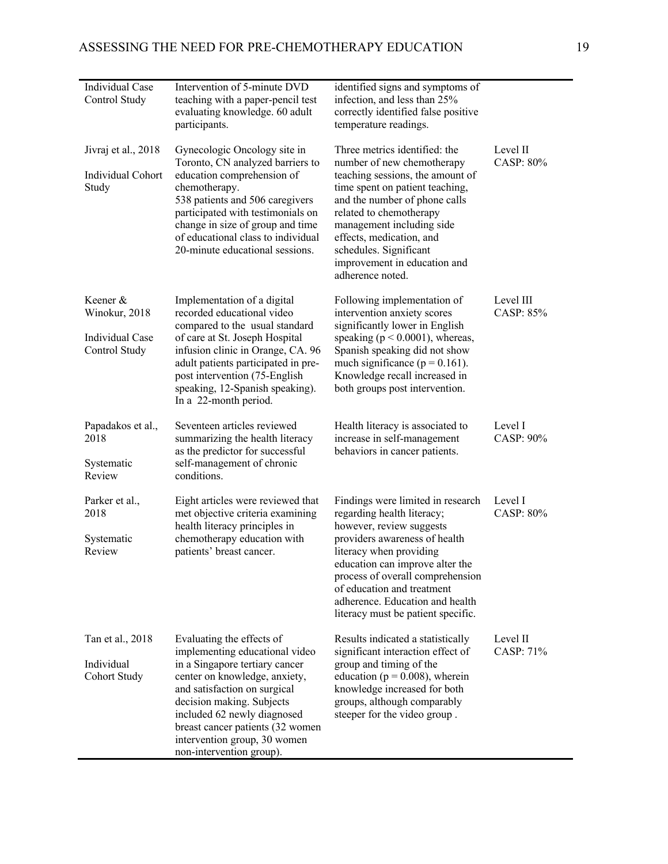| Individual Case<br>Control Study                              | Intervention of 5-minute DVD<br>teaching with a paper-pencil test<br>evaluating knowledge. 60 adult<br>participants.                                                                                                                                                                                                       | identified signs and symptoms of<br>infection, and less than 25%<br>correctly identified false positive<br>temperature readings.                                                                                                                                                                                                      |                              |
|---------------------------------------------------------------|----------------------------------------------------------------------------------------------------------------------------------------------------------------------------------------------------------------------------------------------------------------------------------------------------------------------------|---------------------------------------------------------------------------------------------------------------------------------------------------------------------------------------------------------------------------------------------------------------------------------------------------------------------------------------|------------------------------|
| Jivraj et al., 2018<br>Individual Cohort<br>Study             | Gynecologic Oncology site in<br>Toronto, CN analyzed barriers to<br>education comprehension of<br>chemotherapy.<br>538 patients and 506 caregivers<br>participated with testimonials on<br>change in size of group and time<br>of educational class to individual<br>20-minute educational sessions.                       | Three metrics identified: the<br>number of new chemotherapy<br>teaching sessions, the amount of<br>time spent on patient teaching,<br>and the number of phone calls<br>related to chemotherapy<br>management including side<br>effects, medication, and<br>schedules. Significant<br>improvement in education and<br>adherence noted. | Level II<br><b>CASP: 80%</b> |
| Keener &<br>Winokur, 2018<br>Individual Case<br>Control Study | Implementation of a digital<br>recorded educational video<br>compared to the usual standard<br>of care at St. Joseph Hospital<br>infusion clinic in Orange, CA. 96<br>adult patients participated in pre-<br>post intervention (75-English<br>speaking, 12-Spanish speaking).<br>In a 22-month period.                     | Following implementation of<br>intervention anxiety scores<br>significantly lower in English<br>speaking ( $p < 0.0001$ ), whereas,<br>Spanish speaking did not show<br>much significance ( $p = 0.161$ ).<br>Knowledge recall increased in<br>both groups post intervention.                                                         | Level III<br>CASP: 85%       |
| Papadakos et al.,<br>2018<br>Systematic<br>Review             | Seventeen articles reviewed<br>summarizing the health literacy<br>as the predictor for successful<br>self-management of chronic<br>conditions.                                                                                                                                                                             | Health literacy is associated to<br>increase in self-management<br>behaviors in cancer patients.                                                                                                                                                                                                                                      | Level I<br>$CASP: 90\%$      |
| Parker et al.,<br>2018<br>Systematic<br>Review                | Eight articles were reviewed that<br>met objective criteria examining<br>health literacy principles in<br>chemotherapy education with<br>patients' breast cancer.                                                                                                                                                          | Findings were limited in research<br>regarding health literacy;<br>however, review suggests<br>providers awareness of health<br>literacy when providing<br>education can improve alter the<br>process of overall comprehension<br>of education and treatment<br>adherence. Education and health<br>literacy must be patient specific. | Level I<br><b>CASP: 80%</b>  |
| Tan et al., 2018<br>Individual<br>Cohort Study                | Evaluating the effects of<br>implementing educational video<br>in a Singapore tertiary cancer<br>center on knowledge, anxiety,<br>and satisfaction on surgical<br>decision making. Subjects<br>included 62 newly diagnosed<br>breast cancer patients (32 women<br>intervention group, 30 women<br>non-intervention group). | Results indicated a statistically<br>significant interaction effect of<br>group and timing of the<br>education ( $p = 0.008$ ), wherein<br>knowledge increased for both<br>groups, although comparably<br>steeper for the video group.                                                                                                | Level II<br>CASP: 71%        |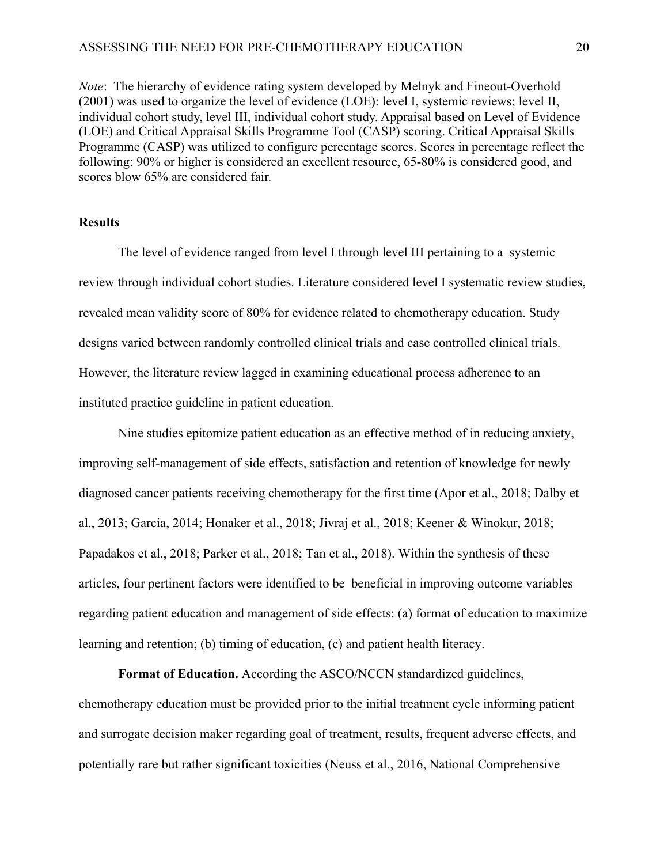*Note*: The hierarchy of evidence rating system developed by Melnyk and Fineout-Overhold (2001) was used to organize the level of evidence (LOE): level I, systemic reviews; level II, individual cohort study, level III, individual cohort study. Appraisal based on Level of Evidence (LOE) and Critical Appraisal Skills Programme Tool (CASP) scoring. Critical Appraisal Skills Programme (CASP) was utilized to configure percentage scores. Scores in percentage reflect the following: 90% or higher is considered an excellent resource, 65-80% is considered good, and scores blow 65% are considered fair.

#### **Results**

The level of evidence ranged from level I through level III pertaining to a systemic review through individual cohort studies. Literature considered level I systematic review studies, revealed mean validity score of 80% for evidence related to chemotherapy education. Study designs varied between randomly controlled clinical trials and case controlled clinical trials. However, the literature review lagged in examining educational process adherence to an instituted practice guideline in patient education.

Nine studies epitomize patient education as an effective method of in reducing anxiety, improving self-management of side effects, satisfaction and retention of knowledge for newly diagnosed cancer patients receiving chemotherapy for the first time (Apor et al., 2018; Dalby et al., 2013; Garcia, 2014; Honaker et al., 2018; Jivraj et al., 2018; Keener & Winokur, 2018; Papadakos et al., 2018; Parker et al., 2018; Tan et al., 2018). Within the synthesis of these articles, four pertinent factors were identified to be beneficial in improving outcome variables regarding patient education and management of side effects: (a) format of education to maximize learning and retention; (b) timing of education, (c) and patient health literacy.

**Format of Education.** According the ASCO/NCCN standardized guidelines, chemotherapy education must be provided prior to the initial treatment cycle informing patient and surrogate decision maker regarding goal of treatment, results, frequent adverse effects, and potentially rare but rather significant toxicities (Neuss et al., 2016, National Comprehensive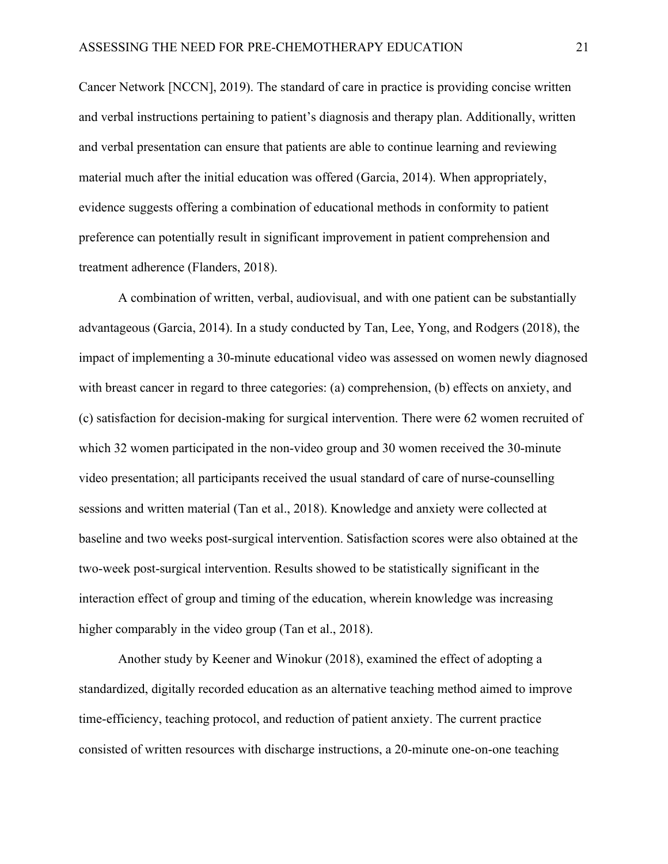Cancer Network [NCCN], 2019). The standard of care in practice is providing concise written and verbal instructions pertaining to patient's diagnosis and therapy plan. Additionally, written and verbal presentation can ensure that patients are able to continue learning and reviewing material much after the initial education was offered (Garcia, 2014). When appropriately, evidence suggests offering a combination of educational methods in conformity to patient preference can potentially result in significant improvement in patient comprehension and treatment adherence (Flanders, 2018).

A combination of written, verbal, audiovisual, and with one patient can be substantially advantageous (Garcia, 2014). In a study conducted by Tan, Lee, Yong, and Rodgers (2018), the impact of implementing a 30-minute educational video was assessed on women newly diagnosed with breast cancer in regard to three categories: (a) comprehension, (b) effects on anxiety, and (c) satisfaction for decision-making for surgical intervention. There were 62 women recruited of which 32 women participated in the non-video group and 30 women received the 30-minute video presentation; all participants received the usual standard of care of nurse-counselling sessions and written material (Tan et al., 2018). Knowledge and anxiety were collected at baseline and two weeks post-surgical intervention. Satisfaction scores were also obtained at the two-week post-surgical intervention. Results showed to be statistically significant in the interaction effect of group and timing of the education, wherein knowledge was increasing higher comparably in the video group (Tan et al., 2018).

Another study by Keener and Winokur (2018), examined the effect of adopting a standardized, digitally recorded education as an alternative teaching method aimed to improve time-efficiency, teaching protocol, and reduction of patient anxiety. The current practice consisted of written resources with discharge instructions, a 20-minute one-on-one teaching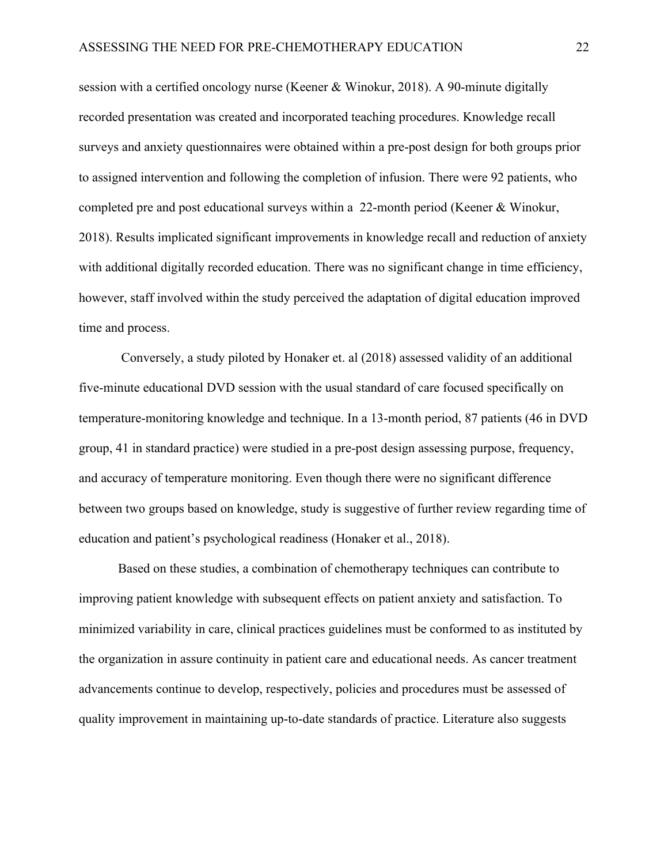session with a certified oncology nurse (Keener & Winokur, 2018). A 90-minute digitally recorded presentation was created and incorporated teaching procedures. Knowledge recall surveys and anxiety questionnaires were obtained within a pre-post design for both groups prior to assigned intervention and following the completion of infusion. There were 92 patients, who completed pre and post educational surveys within a 22-month period (Keener & Winokur, 2018). Results implicated significant improvements in knowledge recall and reduction of anxiety with additional digitally recorded education. There was no significant change in time efficiency, however, staff involved within the study perceived the adaptation of digital education improved time and process.

Conversely, a study piloted by Honaker et. al (2018) assessed validity of an additional five-minute educational DVD session with the usual standard of care focused specifically on temperature-monitoring knowledge and technique. In a 13-month period, 87 patients (46 in DVD group, 41 in standard practice) were studied in a pre-post design assessing purpose, frequency, and accuracy of temperature monitoring. Even though there were no significant difference between two groups based on knowledge, study is suggestive of further review regarding time of education and patient's psychological readiness (Honaker et al., 2018).

Based on these studies, a combination of chemotherapy techniques can contribute to improving patient knowledge with subsequent effects on patient anxiety and satisfaction. To minimized variability in care, clinical practices guidelines must be conformed to as instituted by the organization in assure continuity in patient care and educational needs. As cancer treatment advancements continue to develop, respectively, policies and procedures must be assessed of quality improvement in maintaining up-to-date standards of practice. Literature also suggests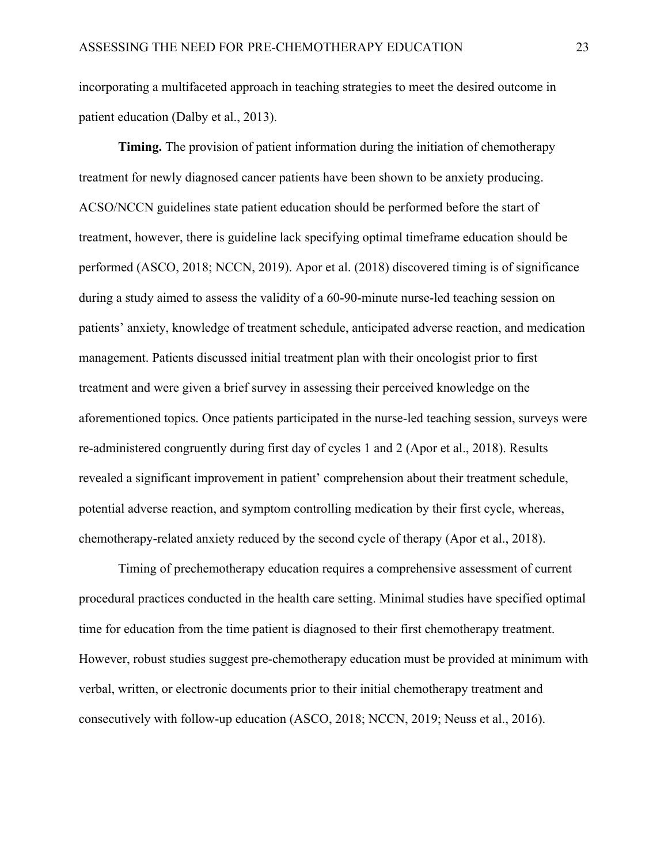incorporating a multifaceted approach in teaching strategies to meet the desired outcome in patient education (Dalby et al., 2013).

**Timing.** The provision of patient information during the initiation of chemotherapy treatment for newly diagnosed cancer patients have been shown to be anxiety producing. ACSO/NCCN guidelines state patient education should be performed before the start of treatment, however, there is guideline lack specifying optimal timeframe education should be performed (ASCO, 2018; NCCN, 2019). Apor et al. (2018) discovered timing is of significance during a study aimed to assess the validity of a 60-90-minute nurse-led teaching session on patients' anxiety, knowledge of treatment schedule, anticipated adverse reaction, and medication management. Patients discussed initial treatment plan with their oncologist prior to first treatment and were given a brief survey in assessing their perceived knowledge on the aforementioned topics. Once patients participated in the nurse-led teaching session, surveys were re-administered congruently during first day of cycles 1 and 2 (Apor et al., 2018). Results revealed a significant improvement in patient' comprehension about their treatment schedule, potential adverse reaction, and symptom controlling medication by their first cycle, whereas, chemotherapy-related anxiety reduced by the second cycle of therapy (Apor et al., 2018).

Timing of prechemotherapy education requires a comprehensive assessment of current procedural practices conducted in the health care setting. Minimal studies have specified optimal time for education from the time patient is diagnosed to their first chemotherapy treatment. However, robust studies suggest pre-chemotherapy education must be provided at minimum with verbal, written, or electronic documents prior to their initial chemotherapy treatment and consecutively with follow-up education (ASCO, 2018; NCCN, 2019; Neuss et al., 2016).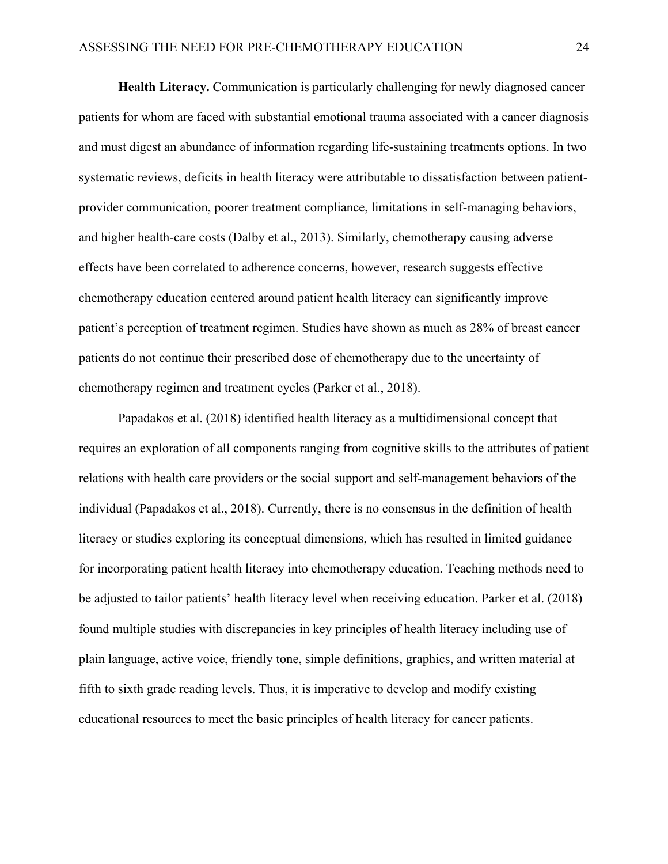**Health Literacy.** Communication is particularly challenging for newly diagnosed cancer patients for whom are faced with substantial emotional trauma associated with a cancer diagnosis and must digest an abundance of information regarding life-sustaining treatments options. In two systematic reviews, deficits in health literacy were attributable to dissatisfaction between patientprovider communication, poorer treatment compliance, limitations in self-managing behaviors, and higher health-care costs (Dalby et al., 2013). Similarly, chemotherapy causing adverse effects have been correlated to adherence concerns, however, research suggests effective chemotherapy education centered around patient health literacy can significantly improve patient's perception of treatment regimen. Studies have shown as much as 28% of breast cancer patients do not continue their prescribed dose of chemotherapy due to the uncertainty of chemotherapy regimen and treatment cycles (Parker et al., 2018).

Papadakos et al. (2018) identified health literacy as a multidimensional concept that requires an exploration of all components ranging from cognitive skills to the attributes of patient relations with health care providers or the social support and self-management behaviors of the individual (Papadakos et al., 2018). Currently, there is no consensus in the definition of health literacy or studies exploring its conceptual dimensions, which has resulted in limited guidance for incorporating patient health literacy into chemotherapy education. Teaching methods need to be adjusted to tailor patients' health literacy level when receiving education. Parker et al. (2018) found multiple studies with discrepancies in key principles of health literacy including use of plain language, active voice, friendly tone, simple definitions, graphics, and written material at fifth to sixth grade reading levels. Thus, it is imperative to develop and modify existing educational resources to meet the basic principles of health literacy for cancer patients.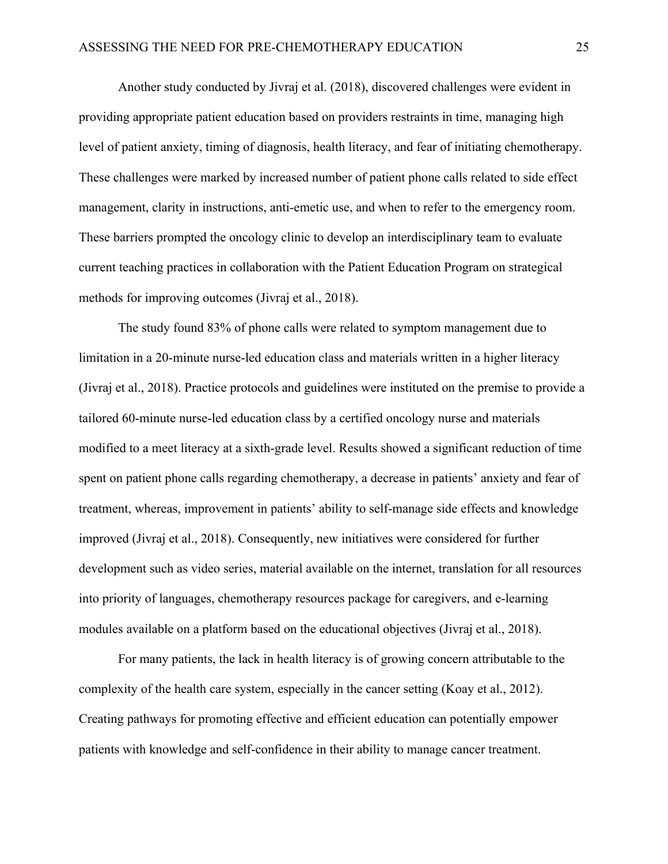Another study conducted by Jivraj et al. (2018), discovered challenges were evident in providing appropriate patient education based on providers restraints in time, managing high level of patient anxiety, timing of diagnosis, health literacy, and fear of initiating chemotherapy. These challenges were marked by increased number of patient phone calls related to side effect management, clarity in instructions, anti-emetic use, and when to refer to the emergency room. These barriers prompted the oncology clinic to develop an interdisciplinary team to evaluate current teaching practices in collaboration with the Patient Education Program on strategical methods for improving outcomes (Jivraj et al., 2018).

The study found 83% of phone calls were related to symptom management due to limitation in a 20-minute nurse-led education class and materials written in a higher literacy (Jivraj et al., 2018). Practice protocols and guidelines were instituted on the premise to provide a tailored 60-minute nurse-led education class by a certified oncology nurse and materials modified to a meet literacy at a sixth-grade level. Results showed a significant reduction of time spent on patient phone calls regarding chemotherapy, a decrease in patients' anxiety and fear of treatment, whereas, improvement in patients' ability to self-manage side effects and knowledge improved (Jivraj et al., 2018). Consequently, new initiatives were considered for further development such as video series, material available on the internet, translation for all resources into priority of languages, chemotherapy resources package for caregivers, and e-learning modules available on a platform based on the educational objectives (Jivraj et al., 2018).

For many patients, the lack in health literacy is of growing concern attributable to the complexity of the health care system, especially in the cancer setting (Koay et al., 2012). Creating pathways for promoting effective and efficient education can potentially empower patients with knowledge and self-confidence in their ability to manage cancer treatment.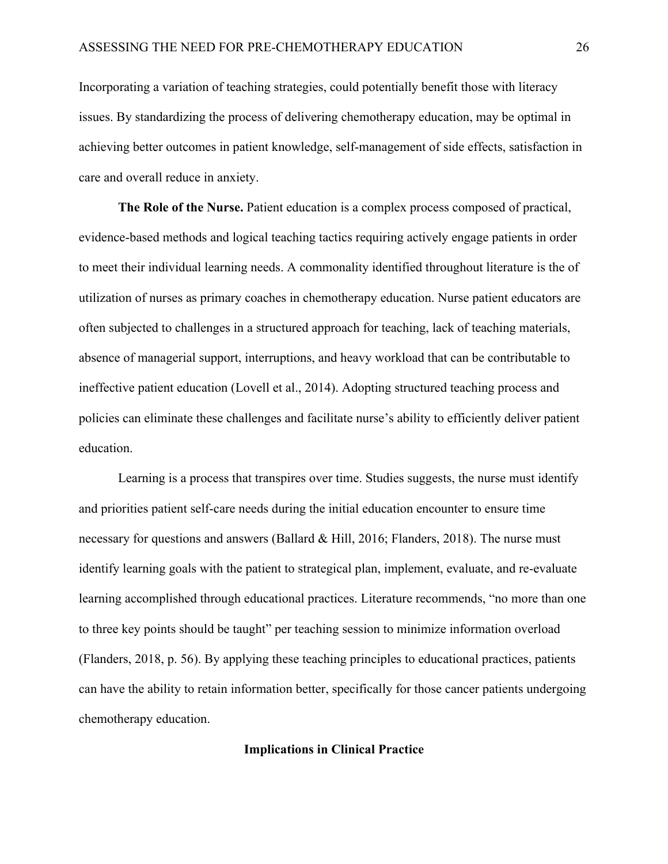Incorporating a variation of teaching strategies, could potentially benefit those with literacy issues. By standardizing the process of delivering chemotherapy education, may be optimal in achieving better outcomes in patient knowledge, self-management of side effects, satisfaction in care and overall reduce in anxiety.

**The Role of the Nurse.** Patient education is a complex process composed of practical, evidence-based methods and logical teaching tactics requiring actively engage patients in order to meet their individual learning needs. A commonality identified throughout literature is the of utilization of nurses as primary coaches in chemotherapy education. Nurse patient educators are often subjected to challenges in a structured approach for teaching, lack of teaching materials, absence of managerial support, interruptions, and heavy workload that can be contributable to ineffective patient education (Lovell et al., 2014). Adopting structured teaching process and policies can eliminate these challenges and facilitate nurse's ability to efficiently deliver patient education.

Learning is a process that transpires over time. Studies suggests, the nurse must identify and priorities patient self-care needs during the initial education encounter to ensure time necessary for questions and answers (Ballard & Hill, 2016; Flanders, 2018). The nurse must identify learning goals with the patient to strategical plan, implement, evaluate, and re-evaluate learning accomplished through educational practices. Literature recommends, "no more than one to three key points should be taught" per teaching session to minimize information overload (Flanders, 2018, p. 56). By applying these teaching principles to educational practices, patients can have the ability to retain information better, specifically for those cancer patients undergoing chemotherapy education.

#### **Implications in Clinical Practice**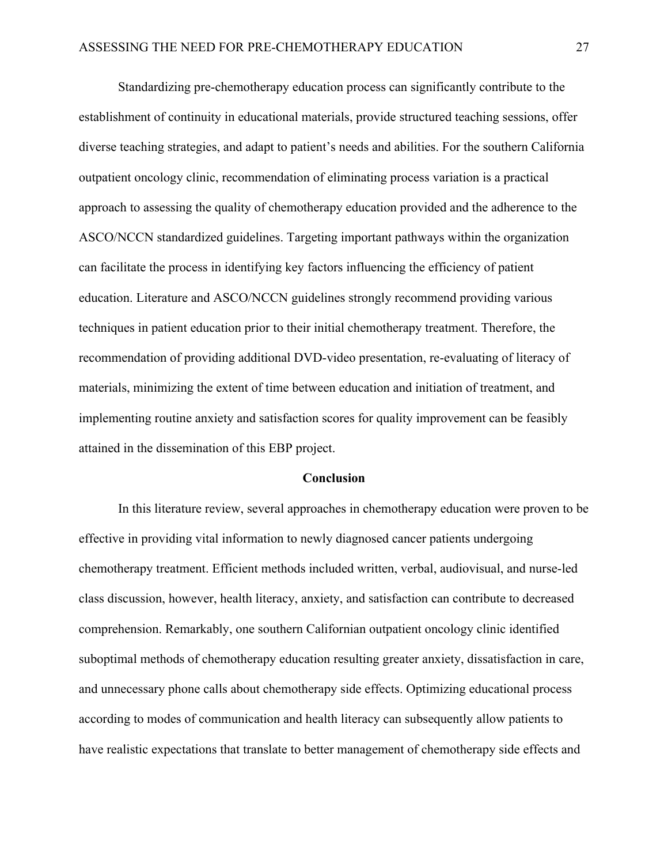Standardizing pre-chemotherapy education process can significantly contribute to the establishment of continuity in educational materials, provide structured teaching sessions, offer diverse teaching strategies, and adapt to patient's needs and abilities. For the southern California outpatient oncology clinic, recommendation of eliminating process variation is a practical approach to assessing the quality of chemotherapy education provided and the adherence to the ASCO/NCCN standardized guidelines. Targeting important pathways within the organization can facilitate the process in identifying key factors influencing the efficiency of patient education. Literature and ASCO/NCCN guidelines strongly recommend providing various techniques in patient education prior to their initial chemotherapy treatment. Therefore, the recommendation of providing additional DVD-video presentation, re-evaluating of literacy of materials, minimizing the extent of time between education and initiation of treatment, and implementing routine anxiety and satisfaction scores for quality improvement can be feasibly attained in the dissemination of this EBP project.

#### **Conclusion**

In this literature review, several approaches in chemotherapy education were proven to be effective in providing vital information to newly diagnosed cancer patients undergoing chemotherapy treatment. Efficient methods included written, verbal, audiovisual, and nurse-led class discussion, however, health literacy, anxiety, and satisfaction can contribute to decreased comprehension. Remarkably, one southern Californian outpatient oncology clinic identified suboptimal methods of chemotherapy education resulting greater anxiety, dissatisfaction in care, and unnecessary phone calls about chemotherapy side effects. Optimizing educational process according to modes of communication and health literacy can subsequently allow patients to have realistic expectations that translate to better management of chemotherapy side effects and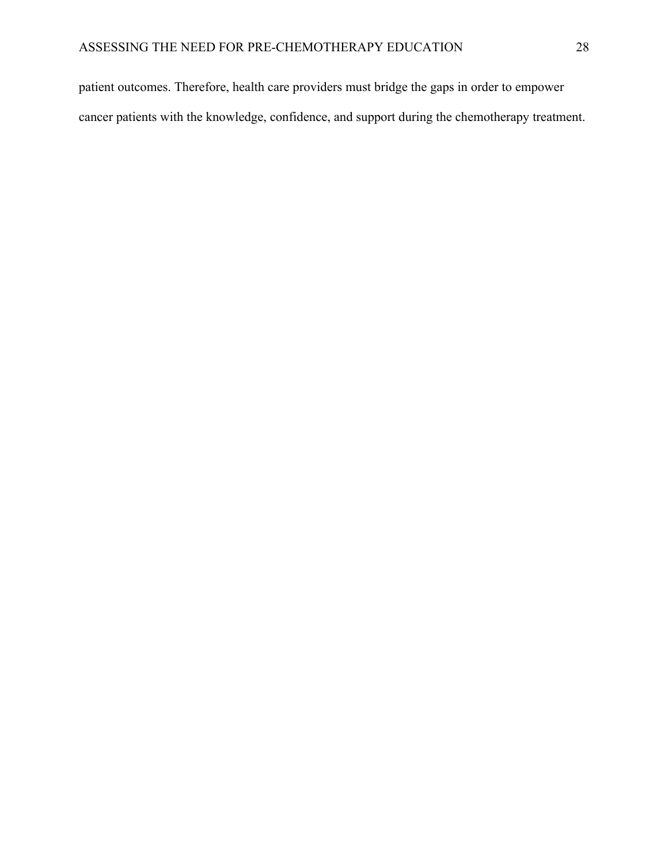patient outcomes. Therefore, health care providers must bridge the gaps in order to empower cancer patients with the knowledge, confidence, and support during the chemotherapy treatment.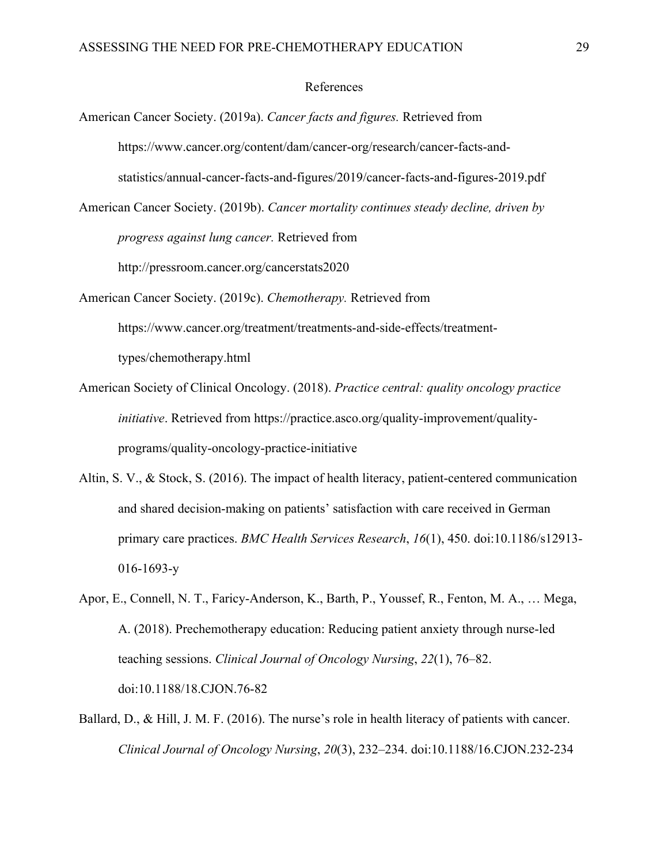#### References

- American Cancer Society. (2019a). *Cancer facts and figures.* Retrieved from https://www.cancer.org/content/dam/cancer-org/research/cancer-facts-andstatistics/annual-cancer-facts-and-figures/2019/cancer-facts-and-figures-2019.pdf
- American Cancer Society. (2019b). *Cancer mortality continues steady decline, driven by progress against lung cancer.* Retrieved from http://pressroom.cancer.org/cancerstats2020
- American Cancer Society. (2019c). *Chemotherapy.* Retrieved from https://www.cancer.org/treatment/treatments-and-side-effects/treatmenttypes/chemotherapy.html
- American Society of Clinical Oncology. (2018). *Practice central: quality oncology practice initiative*. Retrieved from https://practice.asco.org/quality-improvement/qualityprograms/quality-oncology-practice-initiative
- Altin, S. V., & Stock, S. (2016). The impact of health literacy, patient-centered communication and shared decision-making on patients' satisfaction with care received in German primary care practices. *BMC Health Services Research*, *16*(1), 450. doi:10.1186/s12913- 016-1693-y
- Apor, E., Connell, N. T., Faricy-Anderson, K., Barth, P., Youssef, R., Fenton, M. A., … Mega, A. (2018). Prechemotherapy education: Reducing patient anxiety through nurse-led teaching sessions. *Clinical Journal of Oncology Nursing*, *22*(1), 76–82. doi:10.1188/18.CJON.76-82
- Ballard, D., & Hill, J. M. F. (2016). The nurse's role in health literacy of patients with cancer. *Clinical Journal of Oncology Nursing*, *20*(3), 232–234. doi:10.1188/16.CJON.232-234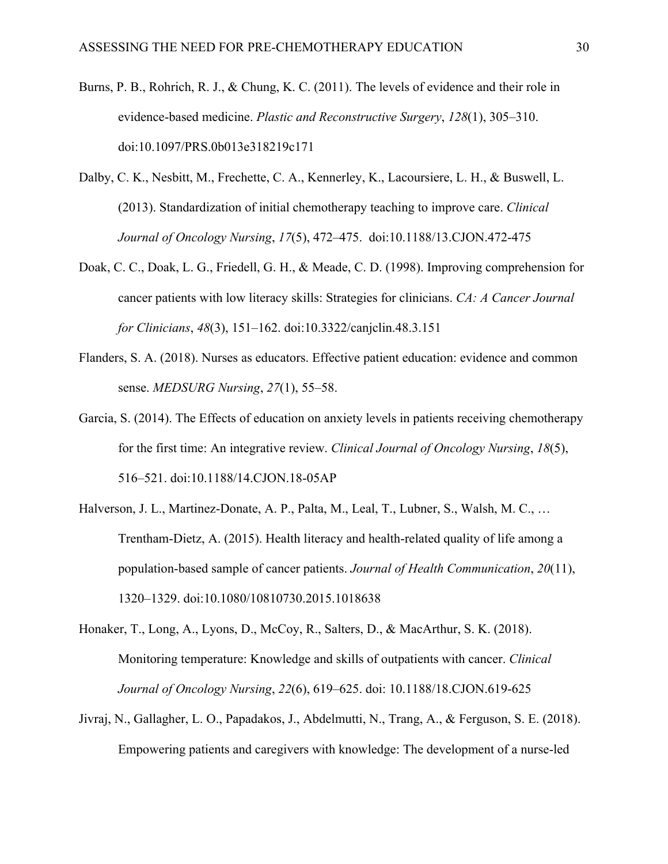- Burns, P. B., Rohrich, R. J., & Chung, K. C. (2011). The levels of evidence and their role in evidence-based medicine. *Plastic and Reconstructive Surgery*, *128*(1), 305–310. doi:10.1097/PRS.0b013e318219c171
- Dalby, C. K., Nesbitt, M., Frechette, C. A., Kennerley, K., Lacoursiere, L. H., & Buswell, L. (2013). Standardization of initial chemotherapy teaching to improve care. *Clinical Journal of Oncology Nursing*, *17*(5), 472–475. doi:10.1188/13.CJON.472-475
- Doak, C. C., Doak, L. G., Friedell, G. H., & Meade, C. D. (1998). Improving comprehension for cancer patients with low literacy skills: Strategies for clinicians. *CA: A Cancer Journal for Clinicians*, *48*(3), 151–162. doi:10.3322/canjclin.48.3.151
- Flanders, S. A. (2018). Nurses as educators. Effective patient education: evidence and common sense. *MEDSURG Nursing*, *27*(1), 55–58.
- Garcia, S. (2014). The Effects of education on anxiety levels in patients receiving chemotherapy for the first time: An integrative review. *Clinical Journal of Oncology Nursing*, *18*(5), 516–521. doi:10.1188/14.CJON.18-05AP
- Halverson, J. L., Martinez-Donate, A. P., Palta, M., Leal, T., Lubner, S., Walsh, M. C., … Trentham-Dietz, A. (2015). Health literacy and health-related quality of life among a population-based sample of cancer patients. *Journal of Health Communication*, *20*(11), 1320–1329. doi:10.1080/10810730.2015.1018638
- Honaker, T., Long, A., Lyons, D., McCoy, R., Salters, D., & MacArthur, S. K. (2018). Monitoring temperature: Knowledge and skills of outpatients with cancer. *Clinical Journal of Oncology Nursing*, *22*(6), 619–625. doi: 10.1188/18.CJON.619-625
- Jivraj, N., Gallagher, L. O., Papadakos, J., Abdelmutti, N., Trang, A., & Ferguson, S. E. (2018). Empowering patients and caregivers with knowledge: The development of a nurse-led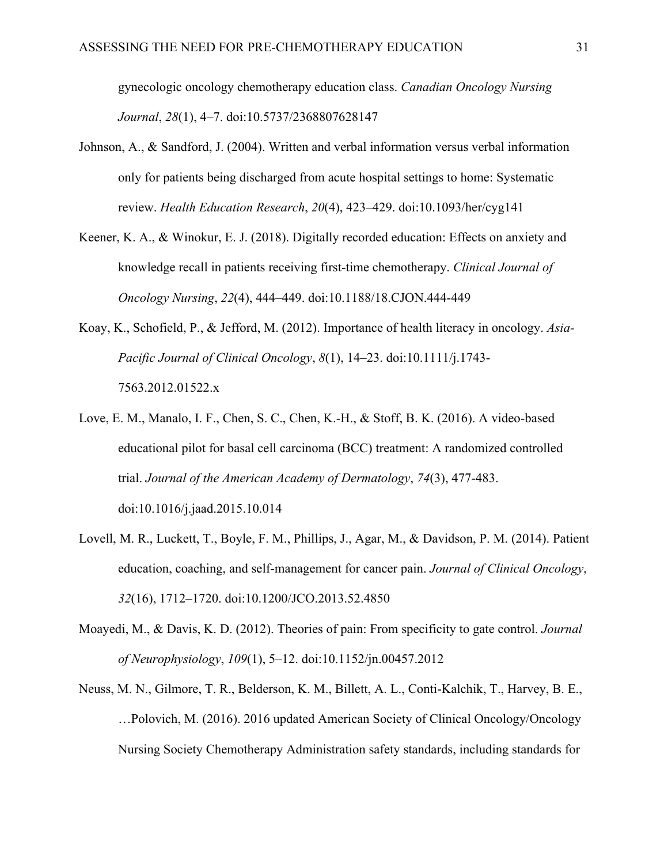gynecologic oncology chemotherapy education class. *Canadian Oncology Nursing Journal*, *28*(1), 4–7. doi:10.5737/2368807628147

- Johnson, A., & Sandford, J. (2004). Written and verbal information versus verbal information only for patients being discharged from acute hospital settings to home: Systematic review. *Health Education Research*, *20*(4), 423–429. doi:10.1093/her/cyg141
- Keener, K. A., & Winokur, E. J. (2018). Digitally recorded education: Effects on anxiety and knowledge recall in patients receiving first-time chemotherapy. *Clinical Journal of Oncology Nursing*, *22*(4), 444–449. doi:10.1188/18.CJON.444-449
- Koay, K., Schofield, P., & Jefford, M. (2012). Importance of health literacy in oncology. *Asia-Pacific Journal of Clinical Oncology*, *8*(1), 14–23. doi:10.1111/j.1743- 7563.2012.01522.x
- Love, E. M., Manalo, I. F., Chen, S. C., Chen, K.-H., & Stoff, B. K. (2016). A video-based educational pilot for basal cell carcinoma (BCC) treatment: A randomized controlled trial. *Journal of the American Academy of Dermatology*, *74*(3), 477-483. doi:10.1016/j.jaad.2015.10.014
- Lovell, M. R., Luckett, T., Boyle, F. M., Phillips, J., Agar, M., & Davidson, P. M. (2014). Patient education, coaching, and self-management for cancer pain. *Journal of Clinical Oncology*, *32*(16), 1712–1720. doi:10.1200/JCO.2013.52.4850
- Moayedi, M., & Davis, K. D. (2012). Theories of pain: From specificity to gate control. *Journal of Neurophysiology*, *109*(1), 5–12. doi:10.1152/jn.00457.2012
- Neuss, M. N., Gilmore, T. R., Belderson, K. M., Billett, A. L., Conti-Kalchik, T., Harvey, B. E., …Polovich, M. (2016). 2016 updated American Society of Clinical Oncology/Oncology Nursing Society Chemotherapy Administration safety standards, including standards for